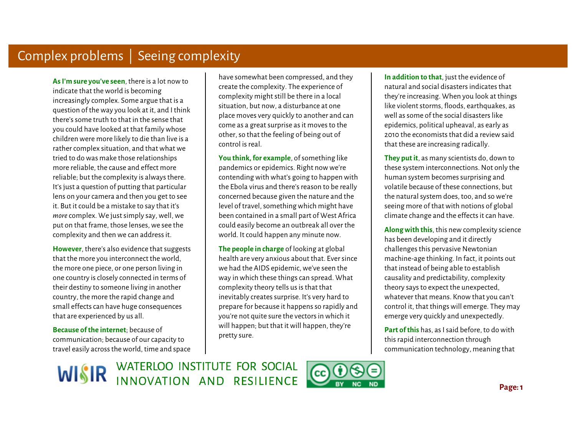**As I'm sure you've seen**, there is a lot now to indicate that the world is becoming increasingly complex. Some argue that is a question of the way you look at it, and I think there's some truth to that in the sense that you could have looked at that family whose children were more likely to die than live is a rather complex situation, and that what we tried to do was make those relationships more reliable, the cause and effect more reliable; but the complexity is always there. It's just a question of putting that particular lens on your camera and then you get to see it. But it could be a mistake to say that it's *more* complex. We just simply say, well, we put on that frame, those lenses, we see the complexity and then we can address it.

 **However**, there's also evidence that suggests that the more you interconnect the world, the more one piece, or one person living in one country is closely connected in terms of their destiny to someone living in another country, the more the rapid change and small effects can have huge consequences that are experienced by us all.

**Because of the internet**; because of communication; because of our capacity to travel easily across the world, time and space

have somewhat been compressed, and they create the complexity. The experience of complexity might still be there in a local situation, but now, a disturbance at one place moves very quickly to another and can come as a great surprise as it moves to the other, so that the feeling of being out of control is real.

**You think, for example**, of something like pandemics or epidemics. Right now we're contending with what's going to happen with the Ebola virus and there's reason to be really concerned because given the nature and the level of travel, something which might have been contained in a small part of West Africa could easily become an outbreak all over the world. It could happen any minute now.

**The people in charge** of looking at global health are very anxious about that. Ever since we had the AIDS epidemic, we've seen the way in which these things can spread. What complexity theory tells us is that that inevitably creates surprise. It's very hard to prepare for because it happens so rapidly and you're not quite sure the vectors in which it will happen; but that it will happen, they're pretty sure.

 **In addition to that**, just the evidence of natural and social disasters indicates that they're increasing. When you look at things like violent storms, floods, earthquakes, as well as some of the social disasters like epidemics, political upheaval, as early as 2010 the economists that did a review said that these are increasing radically.

**They put it**, as many scientists do, down to these system interconnections. Not only the human system becomes surprising and volatile because of these connections, but the natural system does, too, and so we're seeing more of that with notions of global climate change and the effects it can have.

 **Along with this**, this new complexity science has been developing and it directly challenges this pervasive Newtonian machine-age thinking. In fact, it points out that instead of being able to establish causality and predictability, complexity theory says to expect the unexpected, whatever that means. Know that you can't control it, that things will emerge. They may emerge very quickly and unexpectedly.

**Part of this** has, as I said before, to do with this rapid interconnection through communication technology, meaning that

WISIR WATERLOO INSTITUTE FOR SOCIAL